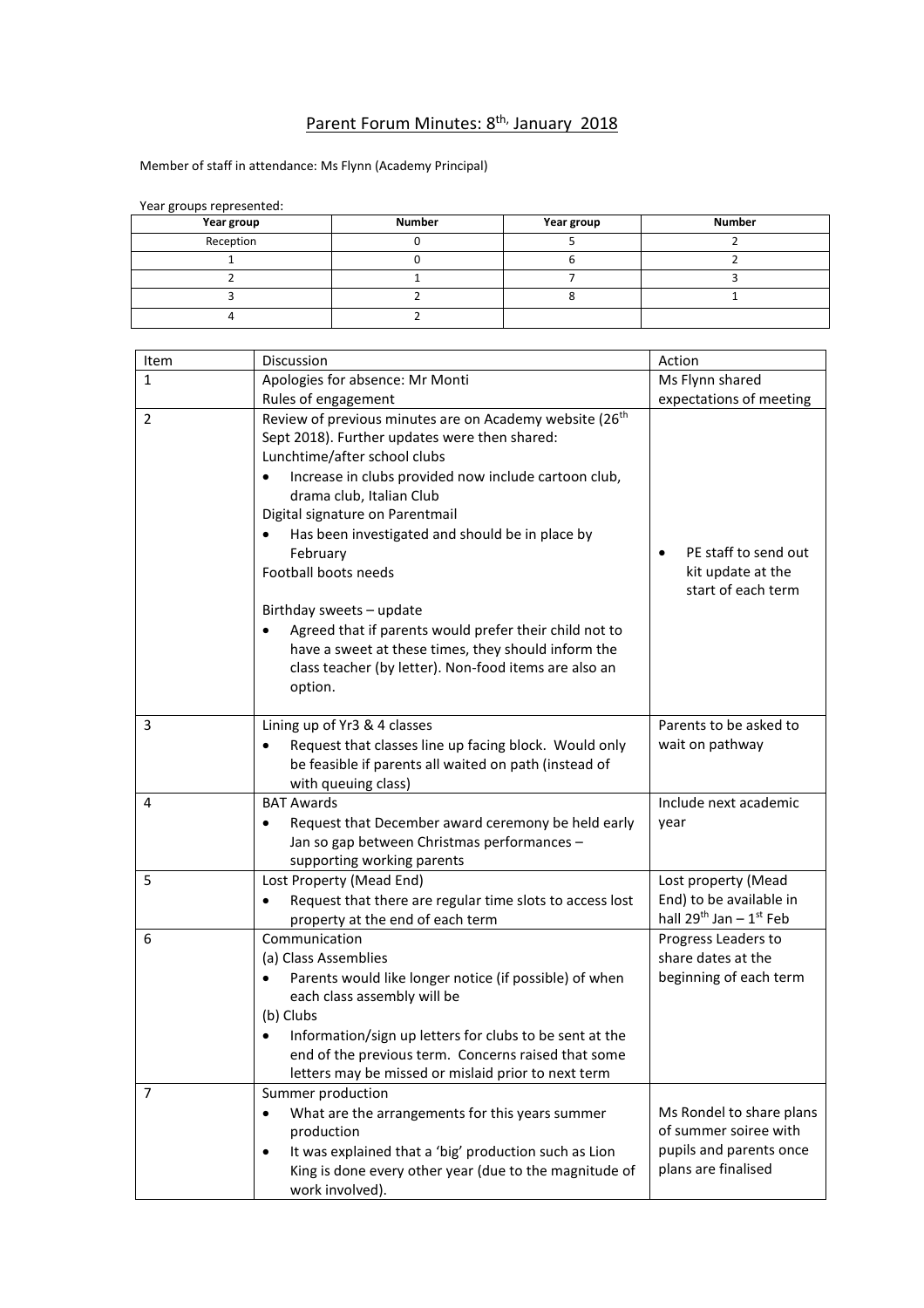## Parent Forum Minutes: 8<sup>th,</sup> January 2018

Member of staff in attendance: Ms Flynn (Academy Principal)

| <b>ICal Broaps ICPICSCIRCA.</b> |               |            |               |  |
|---------------------------------|---------------|------------|---------------|--|
| Year group                      | <b>Number</b> | Year group | <b>Number</b> |  |
| Reception                       |               |            |               |  |
|                                 |               |            |               |  |
|                                 |               |            |               |  |
|                                 |               |            |               |  |
|                                 |               |            |               |  |

Item Discussion and Discussion and Discussion and Discussion and Discussion and Discussion and Discussion and D 1 Apologies for absence: Mr Monti Rules of engagement Ms Flynn shared expectations of meeting 2 Review of previous minutes are on Academy website (26<sup>th</sup>) Sept 2018). Further updates were then shared: Lunchtime/after school clubs • Increase in clubs provided now include cartoon club, drama club, Italian Club Digital signature on Parentmail • Has been investigated and should be in place by February Football boots needs Birthday sweets – update Agreed that if parents would prefer their child not to have a sweet at these times, they should inform the class teacher (by letter). Non-food items are also an option. PE staff to send out kit update at the start of each term 3 Lining up of Yr3 & 4 classes • Request that classes line up facing block. Would only be feasible if parents all waited on path (instead of with queuing class) Parents to be asked to wait on pathway 4 BAT Awards Request that December award ceremony be held early Jan so gap between Christmas performances – supporting working parents Include next academic year 5 Lost Property (Mead End) Request that there are regular time slots to access lost property at the end of each term Lost property (Mead End) to be available in hall 29<sup>th</sup> Jan <mark>–</mark> 1<sup>st</sup> Feb 6 Communication (a) Class Assemblies Parents would like longer notice (if possible) of when each class assembly will be (b) Clubs • Information/sign up letters for clubs to be sent at the end of the previous term. Concerns raised that some letters may be missed or mislaid prior to next term Progress Leaders to share dates at the beginning of each term 7 Summer production What are the arrangements for this years summer production It was explained that a 'big' production such as Lion King is done every other year (due to the magnitude of work involved). Ms Rondel to share plans of summer soiree with pupils and parents once plans are finalised

Year groups represented: